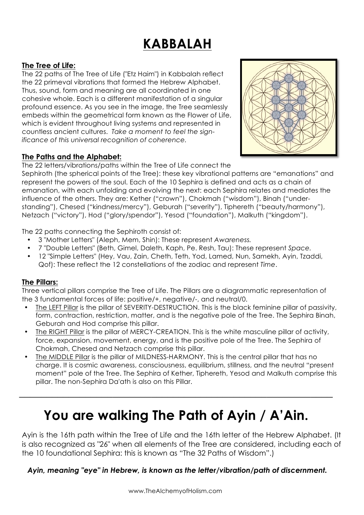# **KABBALAH**

## **The Tree of Life:**

The 22 paths of The Tree of Life ("Etz Haim") in Kabbalah reflect the 22 primeval vibrations that formed the Hebrew Alphabet. Thus, sound, form and meaning are all coordinated in one cohesive whole. Each is a different manifestation of a singular profound essence. As you see in the image, the Tree seamlessly embeds within the geometrical form known as the Flower of Life, which is evident throughout living systems and represented in countless ancient cultures. *Take a moment to feel the significance of this universal recognition of coherence.*

#### **The Paths and the Alphabet:**

The 22 letters/vibrations/paths within the Tree of Life connect the

Sephiroth (the spherical points of the Tree): these key vibrational patterns are "emanations" and represent the powers of the soul. Each of the 10 Sephira is defined and acts as a chain of emanation, with each unfolding and evolving the next: each Sephira relates and mediates the influence of the others. They are: Kether ("crown"), Chokmah ("wisdom"), Binah ("understanding"), Chesed ("kindness/mercy"), Geburah ("severity"), Tiphereth ("beauty/harmony"), Netzach ("victory"), Hod ("glory/spendor"), Yesod ("foundation"), Malkuth ("kingdom").

The 22 paths connecting the Sephiroth consist of:

- 3 "Mother Letters" (Aleph, Mem, Shin): These represent *Awareness.*
- 7 "Double Letters" (Beth, Gimel, Daleth, Kaph, Pe. Resh, Tau): These represent *Space.*
- 12 "Simple Letters" (Hey, Vau, Zain, Cheth, Teth, Yod, Lamed, Nun, Samekh, Ayin, Tzaddi, Qof): These reflect the 12 constellations of the zodiac and represent *Time*.

#### **The Pillars:**

Three vertical pillars comprise the Tree of Life. The Pillars are a diagrammatic representation of the 3 fundamental forces of life: positive/+, negative/-, and neutral/0.

- The LEFT Pillar is the pillar of SEVERITY-DESTRUCTION. This is the black feminine pillar of passivity, form, contraction, restriction, matter, and is the negative pole of the Tree. The Sephira Binah, Geburah and Hod comprise this pillar.
- The RIGHT Pillar is the pillar of MERCY-CREATION. This is the white masculine pillar of activity, force, expansion, movement, energy, and is the positive pole of the Tree. The Sephira of Chokmah, Chesed and Netzach comprise this pillar.
- The MIDDLE Pillar is the pillar of MILDNESS-HARMONY. This is the central pillar that has no charge. It is cosmic awareness, consciousness, equilibrium, stillness, and the neutral "present moment" pole of the Tree. The Sephira of Kether, Tiphereth, Yesod and Malkuth comprise this pillar. The non-Sephira Da'ath is also on this Pillar.

# **You are walking The Path of Ayin / A'Ain.**

**\_\_\_\_\_\_\_\_\_\_\_\_\_\_\_\_\_\_\_\_\_\_\_\_\_\_\_\_\_\_\_\_\_\_\_\_\_\_\_\_\_\_\_\_\_\_\_\_\_\_\_\_\_\_\_\_\_**

Ayin is the 16th path within the Tree of Life and the 16th letter of the Hebrew Alphabet. (It is also recognized as "26" when all elements of the Tree are considered, including each of the 10 foundational Sephira: this is known as "The 32 Paths of Wisdom".)

*Ayin, meaning "eye" in Hebrew, is known as the letter/vibration/path of discernment.*

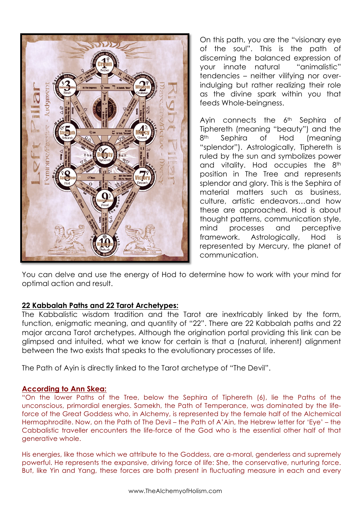

On this path, you are the "visionary eye of the soul". This is the path of discerning the balanced expression of your innate natural "animalistic" tendencies – neither vilifying nor overindulging but rather realizing their role as the divine spark within you that feeds Whole-beingness.

Ayin connects the 6<sup>th</sup> Sephira of Tiphereth (meaning "beauty") and the 8<sup>th</sup> Sephira of Hod Imeaning "splendor"). Astrologically, Tiphereth is ruled by the sun and symbolizes power and vitality. Hod occupies the 8<sup>th</sup> position in The Tree and represents splendor and glory. This is the Sephira of material matters such as business, culture, artistic endeavors…and how these are approached. Hod is about thought patterns, communication style, mind processes and perceptive framework. Astrologically, Hod is represented by Mercury, the planet of communication.

You can delve and use the energy of Hod to determine how to work with your mind for optimal action and result.

## **22 Kabbalah Paths and 22 Tarot Archetypes:**

The Kabbalistic wisdom tradition and the Tarot are inextricably linked by the form, function, enigmatic meaning, and quantity of "22". There are 22 Kabbalah paths and 22 major arcana Tarot archetypes. Although the origination portal providing this link can be glimpsed and intuited, what we know for certain is that a (natural, inherent) alignment between the two exists that speaks to the evolutionary processes of life.

The Path of Ayin is directly linked to the Tarot archetype of "The Devil".

#### **According to Ann Skea:**

"On the lower Paths of the Tree, below the Sephira of Tiphereth (6), lie the Paths of the unconscious, primordial energies. Samekh, the Path of Temperance, was dominated by the lifeforce of the Great Goddess who, in Alchemy, is represented by the female half of the Alchemical Hermaphrodite. Now, on the Path of The Devil – the Path of A'Ain, the Hebrew letter for 'Eye' – the Cabbalistic traveller encounters the life-force of the God who is the essential other half of that generative whole.

His energies, like those which we attribute to the Goddess, are a-moral, genderless and supremely powerful. He represents the expansive, driving force of life: She, the conservative, nurturing force. But, like Yin and Yang, these forces are both present in fluctuating measure in each and every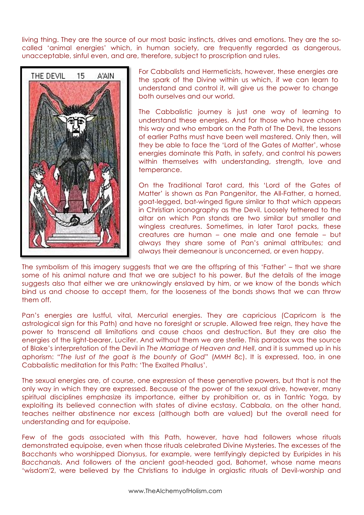living thing. They are the source of our most basic instincts, drives and emotions. They are the socalled 'animal energies' which, in human society, are frequently regarded as dangerous, unacceptable, sinful even, and are, therefore, subject to proscription and rules.



For Cabbalists and Hermeticists, however, these energies are the spark of the Divine within us which, if we can learn to understand and control it, will give us the power to change both ourselves and our world.

The Cabbalistic journey is just one way of learning to understand these energies. And for those who have chosen this way and who embark on the Path of The Devil, the lessons of earlier Paths must have been well mastered. Only then, will they be able to face the 'Lord of the Gates of Matter', whose energies dominate this Path, in safety, and control his powers within themselves with understanding, strength, love and temperance.

On the Traditional Tarot card, this 'Lord of the Gates of Matter' is shown as Pan Pangenitor, the All-Father, a horned, goat-legged, bat-winged figure similar to that which appears in Christian iconography as the Devil. Loosely tethered to the altar on which Pan stands are two similar but smaller and wingless creatures. Sometimes, in later Tarot packs, these creatures are human – one male and one female – but always they share some of Pan's animal attributes; and always their demeanour is unconcerned, or even happy.

The symbolism of this imagery suggests that we are the offspring of this 'Father' – that we share some of his animal nature and that we are subject to his power. But the details of the image suggests also that either we are unknowingly enslaved by him, or we know of the bonds which bind us and choose to accept them, for the looseness of the bonds shows that we can throw them off.

Pan's energies are lustful, vital, Mercurial energies. They are capricious (Capricorn is the astrological sign for this Path) and have no foresight or scruple. Allowed free reign, they have the power to transcend all limitations and cause chaos and destruction. But they are also the energies of the light-bearer, Lucifer. And without them we are sterile. This paradox was the source of Blake's interpretation of the Devil in *The Marriage of Heaven and Hell*, and it is summed up in his aphorism: "*The lust of the goat is the bounty of God*" (*MMH* 8c). It is expressed, too, in one Cabbalistic meditation for this Path: 'The Exalted Phallus'.

The sexual energies are, of course, one expression of these generative powers, but that is not the only way in which they are expressed. Because of the power of the sexual drive, however, many spiritual disciplines emphasize its importance, either by prohibition or, as in Tantric Yoga, by exploiting its believed connection with states of divine ecstasy. Cabbala, on the other hand, teaches neither abstinence nor excess (although both are valued) but the overall need for understanding and for equipoise.

Few of the gods associated with this Path, however, have had followers whose rituals demonstrated equipoise, even when those rituals celebrated Divine Mysteries. The excesses of the Bacchants who worshipped Dionysus, for example, were terrifyingly depicted by Euripides in his *Bacchanals*. And followers of the ancient goat-headed god, Bahomet, whose name means 'wisdom'2, were believed by the Christians to indulge in orgiastic rituals of Devil-worship and